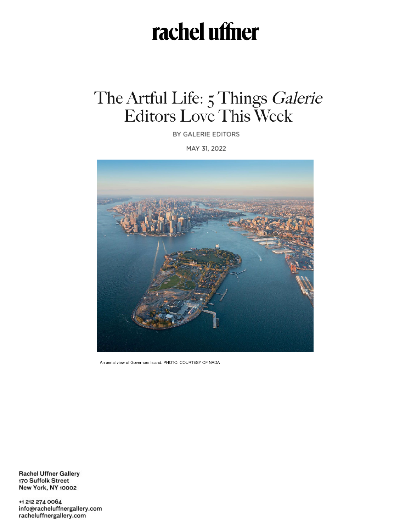## rachel uffner

## The Artful Life: 5 Things Galerie<br>Editors Love This Week

BY GALERIE EDITORS

MAY 31, 2022



An aerial view of Governors Island. PHOTO: COURTESY OF NADA

**Rachel Uffner Gallery** 170 Suffolk Street **New York, NY 10002** 

+1 212 274 0064 info@racheluffnergallery.com racheluffnergallery.com